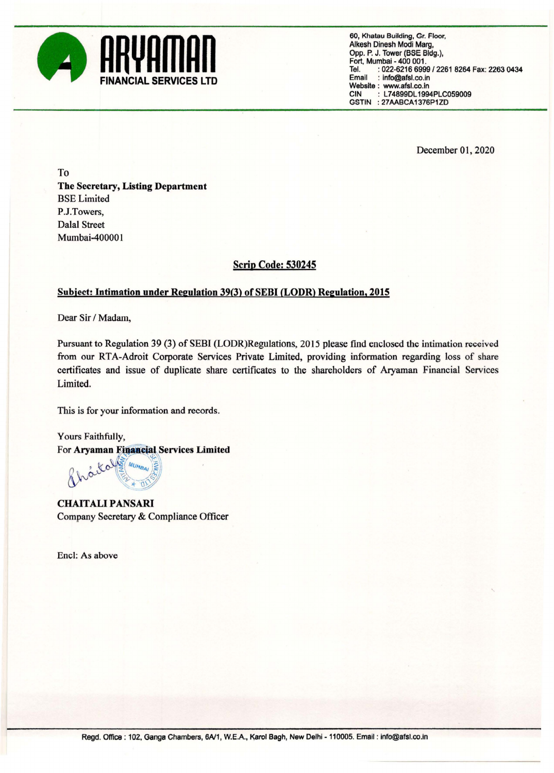

60, Khatau Building, Gr. Floor, Alkesh Dinesh Modi Marg, Opp. P. J. Tower (BSE Bldg.), Fort, Mumbai - 400 001. Tel. : 022-6216 6999 / 2261 8264 Fax: 2263 0434<br>Email : info@afsl.co.in : info@afsl.co.in Website: www.afsl.co.in<br>CIN: : L74899DL199 : L74899DL1994PLC059009 GSTIN : 27AABCA1376P1ZD

December 01, 2020

To The Secretary, Listing Department BSE Limited P.J. Towers, Dalal Street Mumbai-400001

## Scrip Code: 530245

## Subject: Intimation under Regulation 39(3) of SEBI (LODR) Regulation, 2015

Dear Sir / Madam,

Pursuant to Regulation 39 (3) of SEBI (LODR)Regulations, 2015 please find enclosed the intimation received from our RTA-Adroit Corporate Services Private Limited, providing information regarding loss of share certificates and issue of duplicate share certificates to the shareholders of Aryaman Financial Services Limited.

This is for your information and records.

Yours Faithfully, For Aryaman Financial Services Limited

Kolle MUMBAI

CHAITALIPANSARI Company Secretary & Compliance Officer

Ene): As above